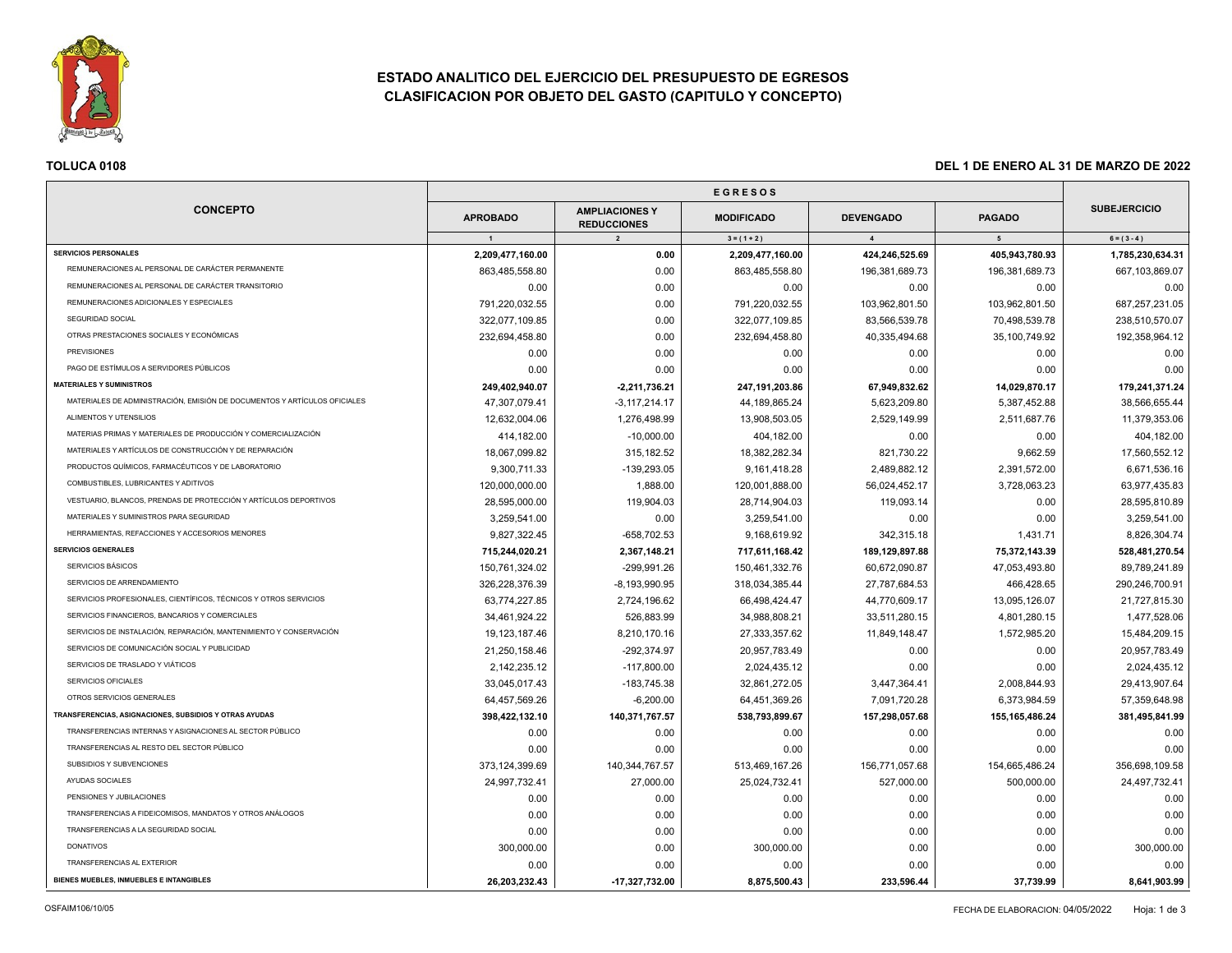

# **ESTADO ANALITICO DEL EJERCICIO DEL PRESUPUESTO DE EGRESOS CLASIFICACION POR OBJETO DEL GASTO (CAPITULO Y CONCEPTO)**

| TOLUCA 0108<br>DEL 1 DE ENERO AL 31 DE MARZO DE 2022                      |                  |                                             |                   |                  |                   |                     |
|---------------------------------------------------------------------------|------------------|---------------------------------------------|-------------------|------------------|-------------------|---------------------|
|                                                                           |                  |                                             |                   |                  |                   |                     |
| <b>CONCEPTO</b>                                                           | <b>APROBADO</b>  | <b>AMPLIACIONES Y</b><br><b>REDUCCIONES</b> | <b>MODIFICADO</b> | <b>DEVENGADO</b> | <b>PAGADO</b>     | <b>SUBEJERCICIO</b> |
|                                                                           | $\overline{1}$   | $\overline{2}$                              | $3 = (1 + 2)$     | $\overline{4}$   | 5                 | $6 = (3 - 4)$       |
| <b>SERVICIOS PERSONALES</b>                                               | 2,209,477,160.00 | 0.00                                        | 2,209,477,160.00  | 424,246,525.69   | 405,943,780.93    | 1,785,230,634.31    |
| REMUNERACIONES AL PERSONAL DE CARÁCTER PERMANENTE                         | 863,485,558.80   | 0.00                                        | 863,485,558.80    | 196,381,689.73   | 196,381,689.73    | 667,103,869.07      |
| REMUNERACIONES AL PERSONAL DE CARÁCTER TRANSITORIO                        | 0.00             | 0.00                                        | 0.00              | 0.00             | 0.00              | 0.00                |
| REMUNERACIONES ADICIONALES Y ESPECIALES                                   | 791,220,032.55   | 0.00                                        | 791,220,032.55    | 103,962,801.50   | 103,962,801.50    | 687,257,231.05      |
| SEGURIDAD SOCIAL                                                          | 322,077,109.85   | 0.00                                        | 322,077,109.85    | 83,566,539.78    | 70,498,539.78     | 238,510,570.07      |
| OTRAS PRESTACIONES SOCIALES Y ECONÓMICAS                                  | 232,694,458.80   | 0.00                                        | 232,694,458.80    | 40,335,494.68    | 35,100,749.92     | 192,358,964.12      |
| <b>PREVISIONES</b>                                                        | 0.00             | 0.00                                        | 0.00              | 0.00             | 0.00              | 0.00                |
| PAGO DE ESTÍMULOS A SERVIDORES PÚBLICOS                                   | 0.00             | 0.00                                        | 0.00              | 0.00             | 0.00              | 0.00                |
| <b>MATERIALES Y SUMINISTROS</b>                                           | 249,402,940.07   | $-2,211,736.21$                             | 247,191,203.86    | 67,949,832.62    | 14,029,870.17     | 179,241,371.24      |
| MATERIALES DE ADMINISTRACIÓN, EMISIÓN DE DOCUMENTOS Y ARTÍCULOS OFICIALES | 47,307,079.41    | $-3,117,214.17$                             | 44,189,865.24     | 5,623,209.80     | 5,387,452.88      | 38,566,655.44       |
| ALIMENTOS Y UTENSILIOS                                                    | 12,632,004.06    | 1,276,498.99                                | 13,908,503.05     | 2,529,149.99     | 2,511,687.76      | 11,379,353.06       |
| MATERIAS PRIMAS Y MATERIALES DE PRODUCCIÓN Y COMERCIALIZACIÓN             | 414,182.00       | $-10,000.00$                                | 404,182.00        | 0.00             | 0.00              | 404,182.00          |
| MATERIALES Y ARTÍCULOS DE CONSTRUCCIÓN Y DE REPARACIÓN                    | 18,067,099.82    | 315, 182.52                                 | 18,382,282.34     | 821,730.22       | 9,662.59          | 17,560,552.12       |
| PRODUCTOS QUÍMICOS, FARMACÉUTICOS Y DE LABORATORIO                        | 9,300,711.33     | -139,293.05                                 | 9,161,418.28      | 2,489,882.12     | 2,391,572.00      | 6,671,536.16        |
| COMBUSTIBLES, LUBRICANTES Y ADITIVOS                                      | 120,000,000.00   | 1,888.00                                    | 120,001,888.00    | 56,024,452.17    | 3,728,063.23      | 63,977,435.83       |
| VESTUARIO, BLANCOS, PRENDAS DE PROTECCIÓN Y ARTÍCULOS DEPORTIVOS          | 28,595,000.00    | 119,904.03                                  | 28,714,904.03     | 119,093.14       | 0.00              | 28,595,810.89       |
| MATERIALES Y SUMINISTROS PARA SEGURIDAD                                   | 3,259,541.00     | 0.00                                        | 3,259,541.00      | 0.00             | 0.00              | 3,259,541.00        |
| HERRAMIENTAS, REFACCIONES Y ACCESORIOS MENORES                            | 9.827.322.45     | -658.702.53                                 | 9.168.619.92      | 342.315.18       | 1,431.71          | 8,826,304.74        |
| <b>SERVICIOS GENERALES</b>                                                | 715,244,020.21   | 2,367,148.21                                | 717,611,168.42    | 189,129,897.88   | 75,372,143.39     | 528,481,270.54      |
| SERVICIOS BÁSICOS                                                         | 150,761,324.02   | -299,991.26                                 | 150,461,332.76    | 60,672,090.87    | 47,053,493.80     | 89,789,241.89       |
| SERVICIOS DE ARRENDAMIENTO                                                | 326,228,376.39   | $-8, 193, 990.95$                           | 318,034,385.44    | 27,787,684.53    | 466,428.65        | 290,246,700.91      |
| SERVICIOS PROFESIONALES, CIENTÍFICOS, TÉCNICOS Y OTROS SERVICIOS          | 63,774,227.85    | 2,724,196.62                                | 66,498,424.47     | 44,770,609.17    | 13,095,126.07     | 21,727,815.30       |
| SERVICIOS FINANCIEROS, BANCARIOS Y COMERCIALES                            | 34,461,924.22    | 526,883.99                                  | 34,988,808.21     | 33,511,280.15    | 4,801,280.15      | 1,477,528.06        |
| SERVICIOS DE INSTALACIÓN, REPARACIÓN, MANTENIMIENTO Y CONSERVACIÓN        | 19, 123, 187. 46 | 8,210,170.16                                | 27,333,357.62     | 11,849,148.47    | 1,572,985.20      | 15,484,209.15       |
| SERVICIOS DE COMUNICACIÓN SOCIAL Y PUBLICIDAD                             | 21,250,158.46    | $-292,374.97$                               | 20,957,783.49     | 0.00             | 0.00              | 20,957,783.49       |
| SERVICIOS DE TRASLADO Y VIÁTICOS                                          | 2,142,235.12     | $-117,800.00$                               | 2,024,435.12      | 0.00             | 0.00              | 2,024,435.12        |
| SERVICIOS OFICIALES                                                       | 33,045,017.43    | -183,745.38                                 | 32,861,272.05     | 3,447,364.41     | 2,008,844.93      | 29,413,907.64       |
| OTROS SERVICIOS GENERALES                                                 | 64,457,569.26    | $-6,200.00$                                 | 64,451,369.26     | 7,091,720.28     | 6,373,984.59      | 57,359,648.98       |
| TRANSFERENCIAS, ASIGNACIONES, SUBSIDIOS Y OTRAS AYUDAS                    | 398,422,132.10   | 140,371,767.57                              | 538,793,899.67    | 157,298,057.68   | 155, 165, 486. 24 | 381,495,841.99      |
| TRANSFERENCIAS INTERNAS Y ASIGNACIONES AL SECTOR PÚBLICO                  | 0.00             | 0.00                                        | 0.00              | 0.00             | 0.00              | 0.00                |
| TRANSFERENCIAS AL RESTO DEL SECTOR PÚBLICO                                | 0.00             | 0.00                                        | 0.00              | 0.00             | 0.00              | 0.00                |
| SUBSIDIOS Y SUBVENCIONES                                                  | 373,124,399.69   | 140,344,767.57                              | 513,469,167.26    | 156,771,057.68   | 154,665,486.24    | 356,698,109.58      |
| AYUDAS SOCIALES                                                           | 24,997,732.41    | 27,000.00                                   | 25,024,732.41     | 527,000.00       | 500,000.00        | 24,497,732.41       |
| PENSIONES Y JUBILACIONES                                                  | 0.00             | 0.00                                        | 0.00              | 0.00             | 0.00              | 0.00                |
| TRANSFERENCIAS A FIDEICOMISOS, MANDATOS Y OTROS ANÁLOGOS                  | 0.00             | 0.00                                        | 0.00              | 0.00             | 0.00              | 0.00                |
| TRANSFERENCIAS A LA SEGURIDAD SOCIAL                                      | 0.00             | 0.00                                        | 0.00              | 0.00             | 0.00              | 0.00                |
| <b>DONATIVOS</b>                                                          | 300,000.00       | 0.00                                        | 300,000.00        | 0.00             | 0.00              | 300,000.00          |
| TRANSFERENCIAS AL EXTERIOR                                                | 0.00             | 0.00                                        | 0.00              | 0.00             | 0.00              | 0.00                |
| BIENES MUEBLES. INMUEBLES E INTANGIBLES                                   | 26,203,232.43    | 17,327,732.00                               | 8,875,500.43      | 233,596.44       | 37,739.99         | 8,641,903.99        |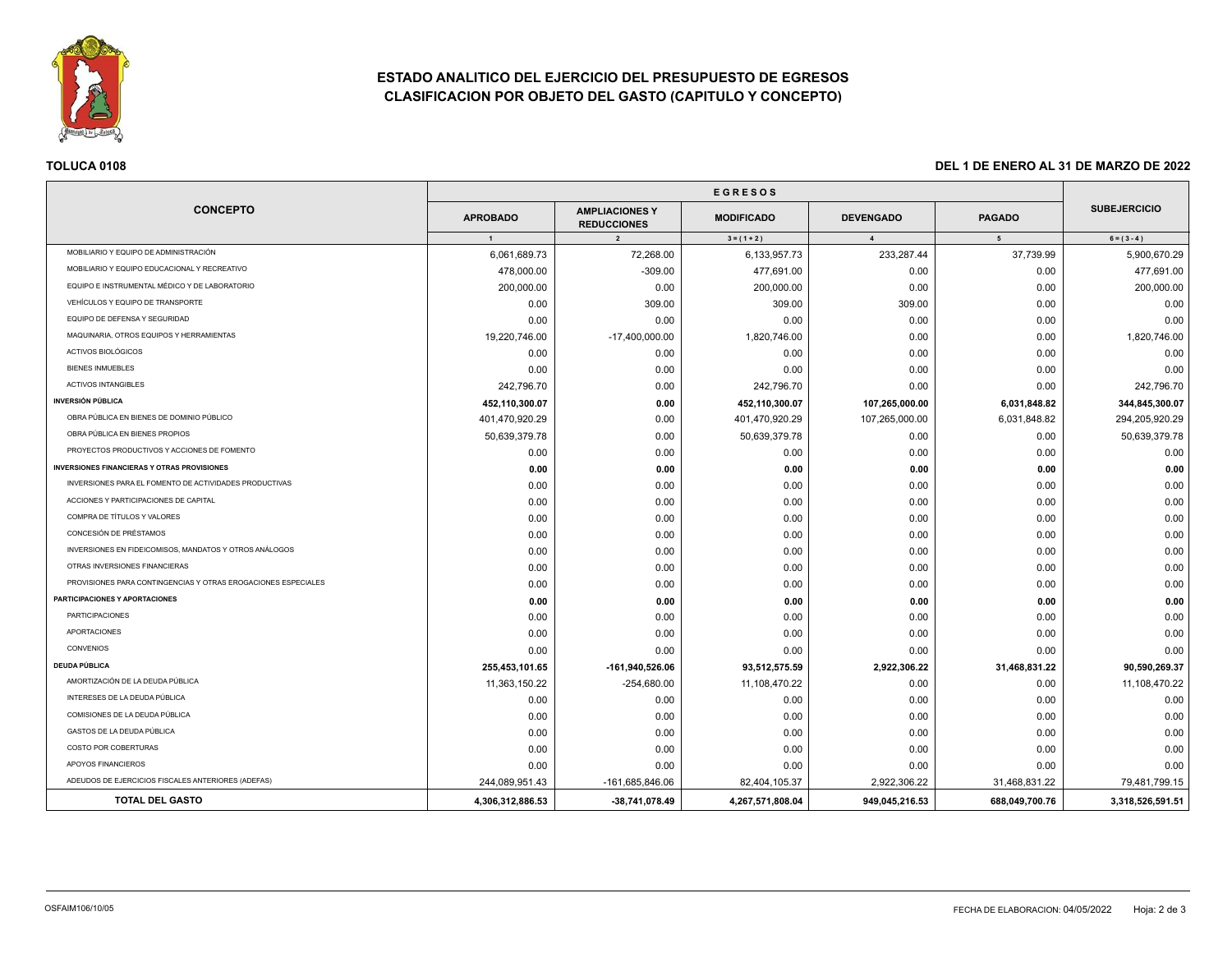

# **ESTADO ANALITICO DEL EJERCICIO DEL PRESUPUESTO DE EGRESOS CLASIFICACION POR OBJETO DEL GASTO (CAPITULO Y CONCEPTO)**

| <b>CONCEPTO</b><br><b>APROBADO</b><br>$\overline{1}$<br>MOBILIARIO Y EQUIPO DE ADMINISTRACIÓN<br>6,061,689.73<br>MOBILIARIO Y EQUIPO EDUCACIONAL Y RECREATIVO<br>478,000.00 | <b>AMPLIACIONES Y</b><br><b>REDUCCIONES</b><br>$\overline{2}$<br>72,268.00<br>$-309.00$<br>0.00<br>309.00 | <b>EGRESOS</b><br><b>MODIFICADO</b><br>$3 = (1 + 2)$<br>6,133,957.73<br>477,691.00 | <b>DEVENGADO</b><br>$\overline{4}$<br>233,287.44 | <b>PAGADO</b><br>$5\overline{5}$<br>37,739.99 | <b>SUBEJERCICIO</b><br>$6 = (3 - 4)$ |
|-----------------------------------------------------------------------------------------------------------------------------------------------------------------------------|-----------------------------------------------------------------------------------------------------------|------------------------------------------------------------------------------------|--------------------------------------------------|-----------------------------------------------|--------------------------------------|
|                                                                                                                                                                             |                                                                                                           |                                                                                    |                                                  |                                               |                                      |
|                                                                                                                                                                             |                                                                                                           |                                                                                    |                                                  |                                               |                                      |
|                                                                                                                                                                             |                                                                                                           |                                                                                    |                                                  |                                               |                                      |
|                                                                                                                                                                             |                                                                                                           |                                                                                    |                                                  |                                               | 5,900,670.29                         |
|                                                                                                                                                                             |                                                                                                           |                                                                                    | 0.00                                             | 0.00                                          | 477,691.00                           |
| EQUIPO E INSTRUMENTAL MÉDICO Y DE LABORATORIO<br>200,000.00                                                                                                                 |                                                                                                           | 200,000.00                                                                         | 0.00                                             | 0.00                                          | 200,000.00                           |
| VEHÍCULOS Y EQUIPO DE TRANSPORTE<br>0.00                                                                                                                                    |                                                                                                           | 309.00                                                                             | 309.00                                           | 0.00                                          | 0.00                                 |
| EQUIPO DE DEFENSA Y SEGURIDAD<br>0.00                                                                                                                                       | 0.00                                                                                                      | 0.00                                                                               | 0.00                                             | 0.00                                          | 0.00                                 |
| MAQUINARIA, OTROS EQUIPOS Y HERRAMIENTAS<br>19,220,746.00                                                                                                                   | -17,400,000.00                                                                                            | 1,820,746.00                                                                       | 0.00                                             | 0.00                                          | 1,820,746.00                         |
| ACTIVOS BIOLÓGICOS<br>0.00                                                                                                                                                  | 0.00                                                                                                      | 0.00                                                                               | 0.00                                             | 0.00                                          | 0.00                                 |
| <b>BIENES INMUEBLES</b><br>0.00                                                                                                                                             | 0.00                                                                                                      | 0.00                                                                               | 0.00                                             | 0.00                                          | 0.00                                 |
| <b>ACTIVOS INTANGIBLES</b><br>242,796.70                                                                                                                                    | 0.00                                                                                                      | 242,796.70                                                                         | 0.00                                             | 0.00                                          | 242,796.70                           |
| <b>INVERSIÓN PÚBLICA</b><br>452,110,300.07                                                                                                                                  | 0.00                                                                                                      | 452,110,300.07                                                                     | 107,265,000.00                                   | 6,031,848.82                                  | 344,845,300.07                       |
| OBRA PÚBLICA EN BIENES DE DOMINIO PÚBLICO<br>401,470,920.29                                                                                                                 | 0.00                                                                                                      | 401,470,920.29                                                                     | 107,265,000.00                                   | 6,031,848.82                                  | 294,205,920.29                       |
| OBRA PÚBLICA EN BIENES PROPIOS<br>50,639,379.78                                                                                                                             | 0.00                                                                                                      | 50,639,379.78                                                                      | 0.00                                             | 0.00                                          | 50,639,379.78                        |
| PROYECTOS PRODUCTIVOS Y ACCIONES DE FOMENTO<br>0.00                                                                                                                         | 0.00                                                                                                      | 0.00                                                                               | 0.00                                             | 0.00                                          | 0.00                                 |
| <b>INVERSIONES FINANCIERAS Y OTRAS PROVISIONES</b><br>0.00                                                                                                                  | 0.00                                                                                                      | 0.00                                                                               | 0.00                                             | 0.00                                          | 0.00                                 |
| INVERSIONES PARA EL FOMENTO DE ACTIVIDADES PRODUCTIVAS<br>0.00                                                                                                              | 0.00                                                                                                      | 0.00                                                                               | 0.00                                             | 0.00                                          | 0.00                                 |
| ACCIONES Y PARTICIPACIONES DE CAPITAL<br>0.00                                                                                                                               | 0.00                                                                                                      | 0.00                                                                               | 0.00                                             | 0.00                                          | 0.00                                 |
| COMPRA DE TÍTULOS Y VALORES<br>0.00                                                                                                                                         | 0.00                                                                                                      | 0.00                                                                               | 0.00                                             | 0.00                                          | 0.00                                 |
| CONCESIÓN DE PRÉSTAMOS<br>0.00                                                                                                                                              | 0.00                                                                                                      | 0.00                                                                               | 0.00                                             | 0.00                                          | 0.00                                 |
| INVERSIONES EN FIDEICOMISOS, MANDATOS Y OTROS ANÁLOGOS<br>0.00                                                                                                              | 0.00                                                                                                      | 0.00                                                                               | 0.00                                             | 0.00                                          | 0.00                                 |
| OTRAS INVERSIONES FINANCIERAS<br>0.00                                                                                                                                       | 0.00                                                                                                      | 0.00                                                                               | 0.00                                             | 0.00                                          | 0.00                                 |
| PROVISIONES PARA CONTINGENCIAS Y OTRAS EROGACIONES ESPECIALES<br>0.00                                                                                                       | 0.00                                                                                                      | 0.00                                                                               | 0.00                                             | 0.00                                          | 0.00                                 |
| <b>PARTICIPACIONES Y APORTACIONES</b><br>0.00                                                                                                                               | 0.00                                                                                                      | 0.00                                                                               | 0.00                                             | 0.00                                          | 0.00                                 |
| <b>PARTICIPACIONES</b><br>0.00                                                                                                                                              | 0.00                                                                                                      | 0.00                                                                               | 0.00                                             | 0.00                                          | 0.00                                 |
| <b>APORTACIONES</b><br>0.00                                                                                                                                                 | 0.00                                                                                                      | 0.00                                                                               | 0.00                                             | 0.00                                          | 0.00                                 |
| <b>CONVENIOS</b><br>0.00                                                                                                                                                    | 0.00                                                                                                      | 0.00                                                                               | 0.00                                             | 0.00                                          | 0.00                                 |
| <b>DEUDA PÚBLICA</b><br>255,453,101.65                                                                                                                                      | -161,940,526.06                                                                                           | 93,512,575.59                                                                      | 2,922,306.22                                     | 31,468,831.22                                 | 90,590,269.37                        |
| AMORTIZACIÓN DE LA DEUDA PÚBLICA<br>11,363,150.22                                                                                                                           | $-254,680.00$                                                                                             | 11,108,470.22                                                                      | 0.00                                             | 0.00                                          | 11,108,470.22                        |
| INTERESES DE LA DEUDA PÚBLICA<br>0.00                                                                                                                                       | 0.00                                                                                                      | 0.00                                                                               | 0.00                                             | 0.00                                          | 0.00                                 |
| COMISIONES DE LA DEUDA PÚBLICA<br>0.00                                                                                                                                      | 0.00                                                                                                      | 0.00                                                                               | 0.00                                             | 0.00                                          | 0.00                                 |
| GASTOS DE LA DEUDA PÚBLICA<br>0.00                                                                                                                                          | 0.00                                                                                                      | 0.00                                                                               | 0.00                                             | 0.00                                          | 0.00                                 |
| COSTO POR COBERTURAS<br>0.00                                                                                                                                                | 0.00                                                                                                      | 0.00                                                                               | 0.00                                             | 0.00                                          | 0.00                                 |
| APOYOS FINANCIEROS<br>0.00                                                                                                                                                  | 0.00                                                                                                      | 0.00                                                                               | 0.00                                             | 0.00                                          | 0.00                                 |
| ADEUDOS DE EJERCICIOS FISCALES ANTERIORES (ADEFAS)<br>244,089,951.43                                                                                                        | -161,685,846.06                                                                                           | 82,404,105.37                                                                      | 2,922,306.22                                     | 31,468,831.22                                 | 79,481,799.15                        |
| <b>TOTAL DEL GASTO</b><br>4,306,312,886.53                                                                                                                                  | -38,741,078.49                                                                                            | 4,267,571,808.04                                                                   | 949,045,216.53                                   | 688,049,700.76                                | 3,318,526,591.51                     |